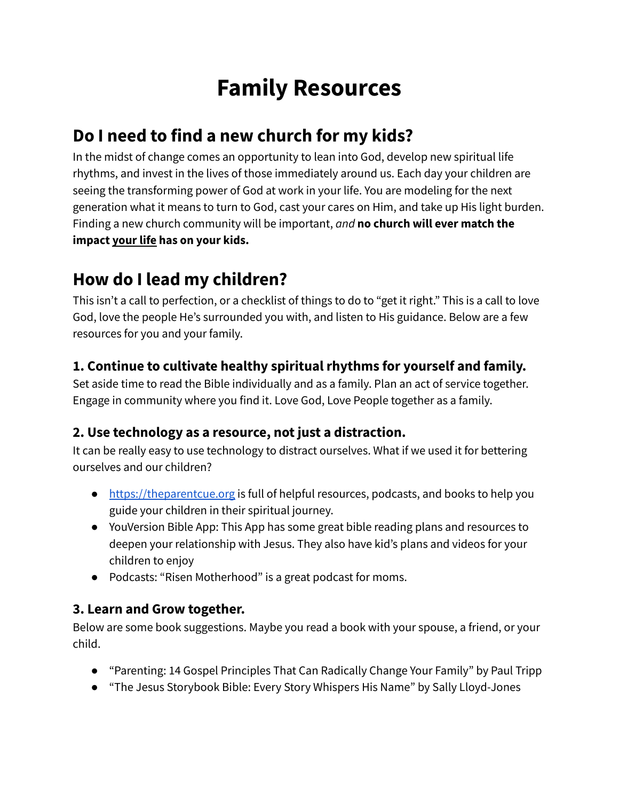# **Family Resources**

### **Do I need to find a new church for my kids?**

In the midst of change comes an opportunity to lean into God, develop new spiritual life rhythms, and invest in the lives of those immediately around us. Each day your children are seeing the transforming power of God at work in your life. You are modeling for the next generation what it means to turn to God, cast your cares on Him, and take up His light burden. Finding a new church community will be important, *and* **no church will ever match the impact your life has on your kids.**

### **How do I lead my children?**

This isn't a call to perfection, or a checklist of things to do to "get it right." This is a call to love God, love the people He's surrounded you with, and listen to His guidance. Below are a few resources for you and your family.

#### **1. Continue to cultivate healthy spiritual rhythms for yourself and family.**

Set aside time to read the Bible individually and as a family. Plan an act of service together. Engage in community where you find it. Love God, Love People together as a family.

#### **2. Use technology as a resource, not just a distraction.**

It can be really easy to use technology to distract ourselves. What if we used it for bettering ourselves and our children?

- <https://theparentcue.org> is full of helpful resources, podcasts, and books to help you guide your children in their spiritual journey.
- YouVersion Bible App: This App has some great bible reading plans and resources to deepen your relationship with Jesus. They also have kid's plans and videos for your children to enjoy
- Podcasts: "Risen Motherhood" is a great podcast for moms.

#### **3. Learn and Grow together.**

Below are some book suggestions. Maybe you read a book with your spouse, a friend, or your child.

- "Parenting: 14 Gospel Principles That Can Radically Change Your Family" by Paul Tripp
- "The Jesus Storybook Bible: Every Story Whispers His Name" by Sally Lloyd-Jones